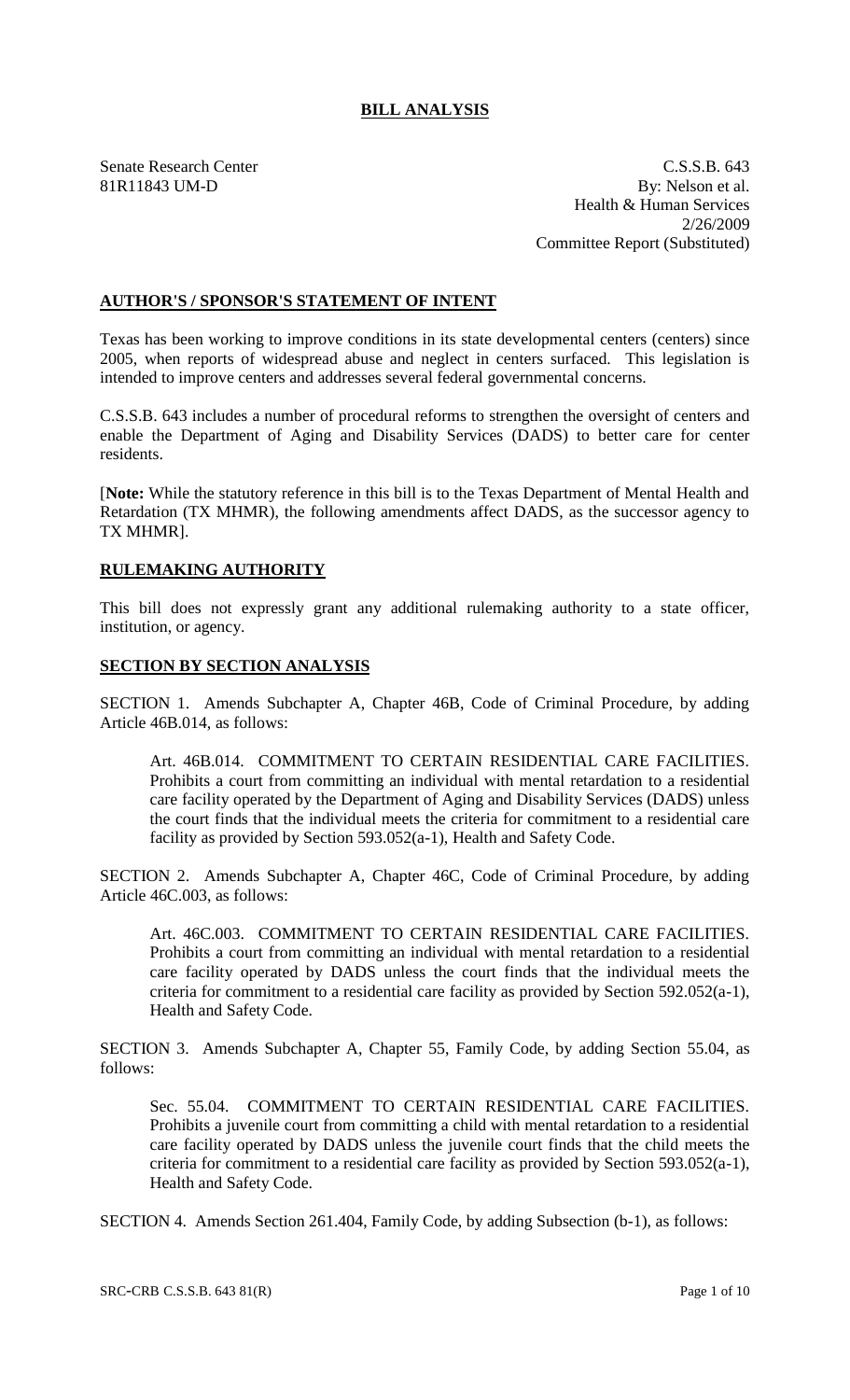# **BILL ANALYSIS**

Senate Research Center C.S.S.B. 643 81R11843 UM-D By: Nelson et al. Health & Human Services 2/26/2009 Committee Report (Substituted)

## **AUTHOR'S / SPONSOR'S STATEMENT OF INTENT**

Texas has been working to improve conditions in its state developmental centers (centers) since 2005, when reports of widespread abuse and neglect in centers surfaced. This legislation is intended to improve centers and addresses several federal governmental concerns.

C.S.S.B. 643 includes a number of procedural reforms to strengthen the oversight of centers and enable the Department of Aging and Disability Services (DADS) to better care for center residents.

[**Note:** While the statutory reference in this bill is to the Texas Department of Mental Health and Retardation (TX MHMR), the following amendments affect DADS, as the successor agency to TX MHMR].

# **RULEMAKING AUTHORITY**

This bill does not expressly grant any additional rulemaking authority to a state officer, institution, or agency.

## **SECTION BY SECTION ANALYSIS**

SECTION 1. Amends Subchapter A, Chapter 46B, Code of Criminal Procedure, by adding Article 46B.014, as follows:

Art. 46B.014. COMMITMENT TO CERTAIN RESIDENTIAL CARE FACILITIES. Prohibits a court from committing an individual with mental retardation to a residential care facility operated by the Department of Aging and Disability Services (DADS) unless the court finds that the individual meets the criteria for commitment to a residential care facility as provided by Section 593.052(a-1), Health and Safety Code.

SECTION 2. Amends Subchapter A, Chapter 46C, Code of Criminal Procedure, by adding Article 46C.003, as follows:

Art. 46C.003. COMMITMENT TO CERTAIN RESIDENTIAL CARE FACILITIES. Prohibits a court from committing an individual with mental retardation to a residential care facility operated by DADS unless the court finds that the individual meets the criteria for commitment to a residential care facility as provided by Section 592.052(a-1), Health and Safety Code.

SECTION 3. Amends Subchapter A, Chapter 55, Family Code, by adding Section 55.04, as follows:

Sec. 55.04. COMMITMENT TO CERTAIN RESIDENTIAL CARE FACILITIES. Prohibits a juvenile court from committing a child with mental retardation to a residential care facility operated by DADS unless the juvenile court finds that the child meets the criteria for commitment to a residential care facility as provided by Section 593.052(a-1), Health and Safety Code.

SECTION 4. Amends Section 261.404, Family Code, by adding Subsection (b-1), as follows: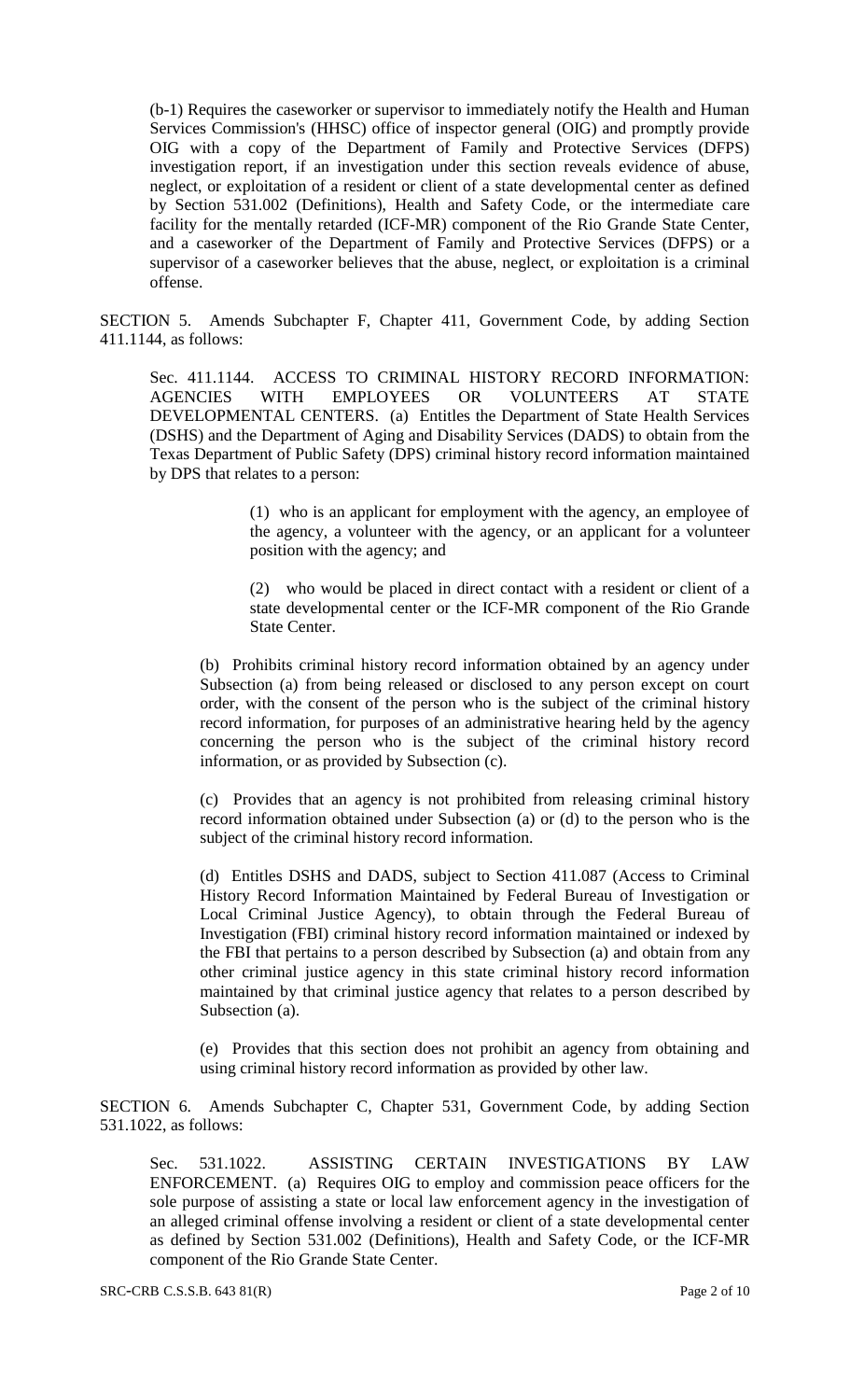(b-1) Requires the caseworker or supervisor to immediately notify the Health and Human Services Commission's (HHSC) office of inspector general (OIG) and promptly provide OIG with a copy of the Department of Family and Protective Services (DFPS) investigation report, if an investigation under this section reveals evidence of abuse, neglect, or exploitation of a resident or client of a state developmental center as defined by Section 531.002 (Definitions), Health and Safety Code, or the intermediate care facility for the mentally retarded (ICF-MR) component of the Rio Grande State Center, and a caseworker of the Department of Family and Protective Services (DFPS) or a supervisor of a caseworker believes that the abuse, neglect, or exploitation is a criminal offense.

SECTION 5. Amends Subchapter F, Chapter 411, Government Code, by adding Section 411.1144, as follows:

Sec. 411.1144. ACCESS TO CRIMINAL HISTORY RECORD INFORMATION: AGENCIES WITH EMPLOYEES OR VOLUNTEERS AT STATE DEVELOPMENTAL CENTERS. (a) Entitles the Department of State Health Services (DSHS) and the Department of Aging and Disability Services (DADS) to obtain from the Texas Department of Public Safety (DPS) criminal history record information maintained by DPS that relates to a person:

> (1) who is an applicant for employment with the agency, an employee of the agency, a volunteer with the agency, or an applicant for a volunteer position with the agency; and

> (2) who would be placed in direct contact with a resident or client of a state developmental center or the ICF-MR component of the Rio Grande State Center.

(b) Prohibits criminal history record information obtained by an agency under Subsection (a) from being released or disclosed to any person except on court order, with the consent of the person who is the subject of the criminal history record information, for purposes of an administrative hearing held by the agency concerning the person who is the subject of the criminal history record information, or as provided by Subsection (c).

(c) Provides that an agency is not prohibited from releasing criminal history record information obtained under Subsection (a) or (d) to the person who is the subject of the criminal history record information.

(d) Entitles DSHS and DADS, subject to Section 411.087 (Access to Criminal History Record Information Maintained by Federal Bureau of Investigation or Local Criminal Justice Agency), to obtain through the Federal Bureau of Investigation (FBI) criminal history record information maintained or indexed by the FBI that pertains to a person described by Subsection (a) and obtain from any other criminal justice agency in this state criminal history record information maintained by that criminal justice agency that relates to a person described by Subsection (a).

(e) Provides that this section does not prohibit an agency from obtaining and using criminal history record information as provided by other law.

SECTION 6. Amends Subchapter C, Chapter 531, Government Code, by adding Section 531.1022, as follows:

Sec. 531.1022. ASSISTING CERTAIN INVESTIGATIONS BY LAW ENFORCEMENT. (a) Requires OIG to employ and commission peace officers for the sole purpose of assisting a state or local law enforcement agency in the investigation of an alleged criminal offense involving a resident or client of a state developmental center as defined by Section 531.002 (Definitions), Health and Safety Code, or the ICF-MR component of the Rio Grande State Center.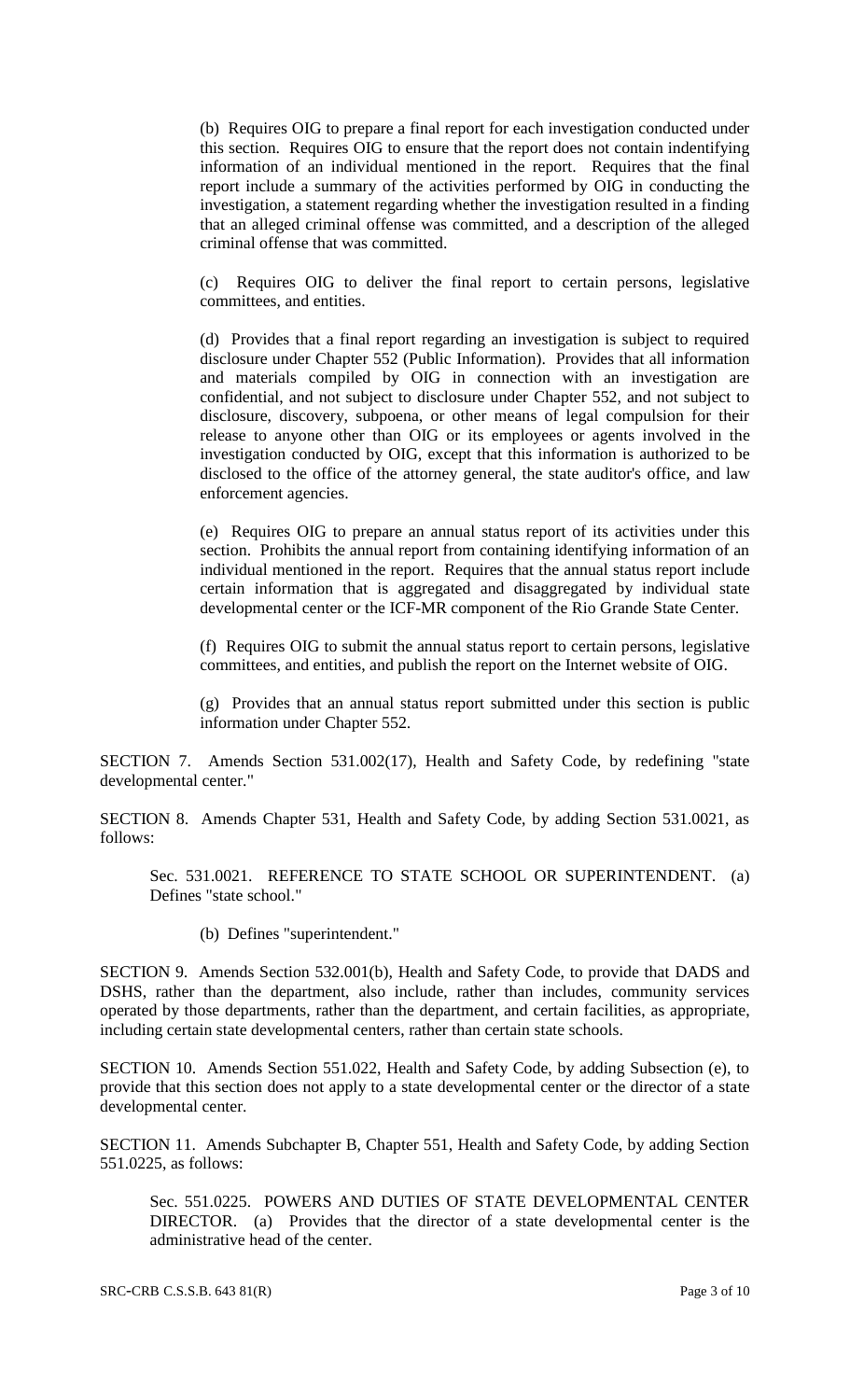(b) Requires OIG to prepare a final report for each investigation conducted under this section. Requires OIG to ensure that the report does not contain indentifying information of an individual mentioned in the report. Requires that the final report include a summary of the activities performed by OIG in conducting the investigation, a statement regarding whether the investigation resulted in a finding that an alleged criminal offense was committed, and a description of the alleged criminal offense that was committed.

(c) Requires OIG to deliver the final report to certain persons, legislative committees, and entities.

(d) Provides that a final report regarding an investigation is subject to required disclosure under Chapter 552 (Public Information). Provides that all information and materials compiled by OIG in connection with an investigation are confidential, and not subject to disclosure under Chapter 552, and not subject to disclosure, discovery, subpoena, or other means of legal compulsion for their release to anyone other than OIG or its employees or agents involved in the investigation conducted by OIG, except that this information is authorized to be disclosed to the office of the attorney general, the state auditor's office, and law enforcement agencies.

(e) Requires OIG to prepare an annual status report of its activities under this section. Prohibits the annual report from containing identifying information of an individual mentioned in the report. Requires that the annual status report include certain information that is aggregated and disaggregated by individual state developmental center or the ICF-MR component of the Rio Grande State Center.

(f) Requires OIG to submit the annual status report to certain persons, legislative committees, and entities, and publish the report on the Internet website of OIG.

(g) Provides that an annual status report submitted under this section is public information under Chapter 552.

SECTION 7. Amends Section 531.002(17), Health and Safety Code, by redefining "state developmental center."

SECTION 8. Amends Chapter 531, Health and Safety Code, by adding Section 531.0021, as follows:

Sec. 531.0021. REFERENCE TO STATE SCHOOL OR SUPERINTENDENT. (a) Defines "state school."

(b) Defines "superintendent."

SECTION 9. Amends Section 532.001(b), Health and Safety Code, to provide that DADS and DSHS, rather than the department, also include, rather than includes, community services operated by those departments, rather than the department, and certain facilities, as appropriate, including certain state developmental centers, rather than certain state schools.

SECTION 10. Amends Section 551.022, Health and Safety Code, by adding Subsection (e), to provide that this section does not apply to a state developmental center or the director of a state developmental center.

SECTION 11. Amends Subchapter B, Chapter 551, Health and Safety Code, by adding Section 551.0225, as follows:

Sec. 551.0225. POWERS AND DUTIES OF STATE DEVELOPMENTAL CENTER DIRECTOR. (a) Provides that the director of a state developmental center is the administrative head of the center.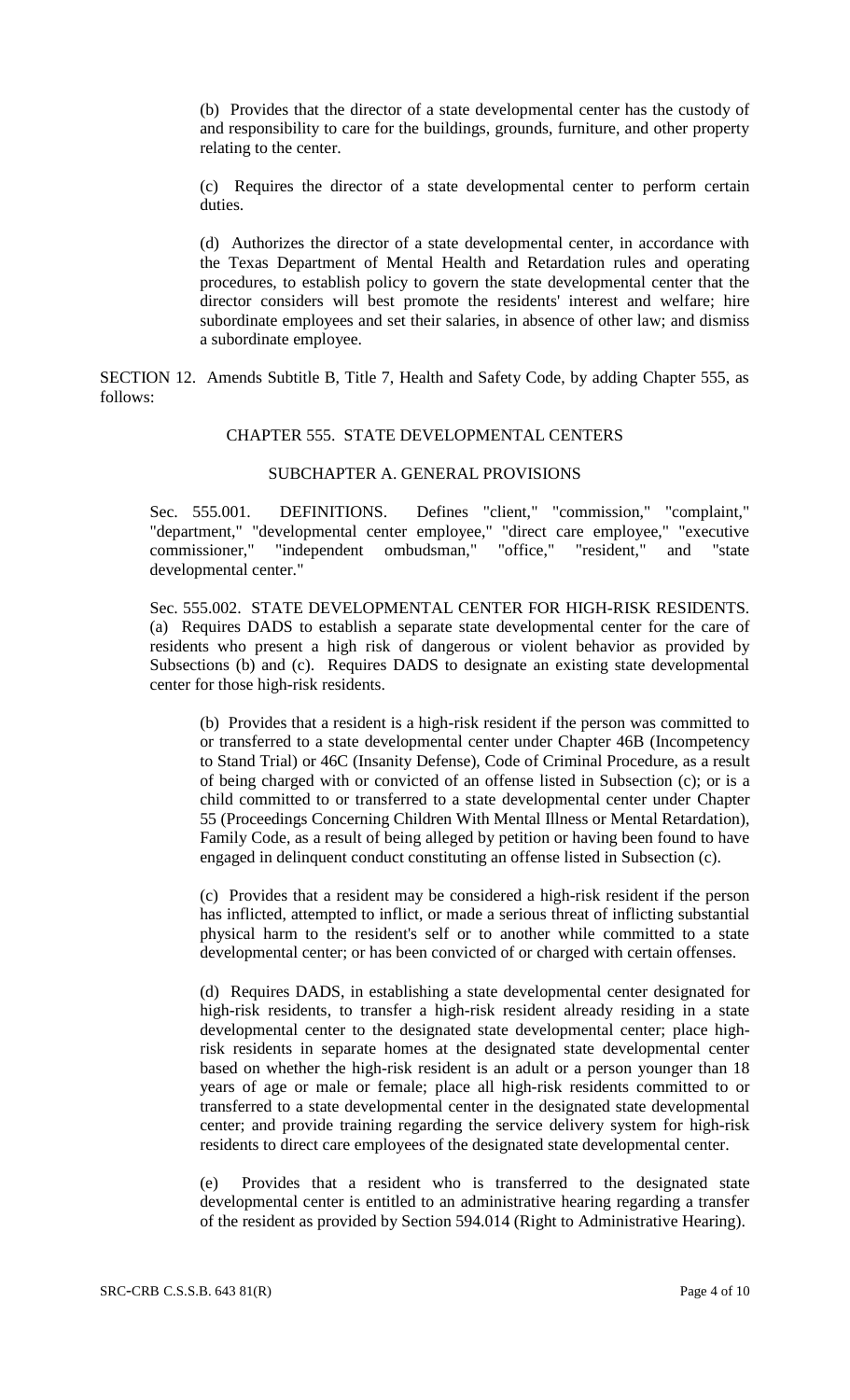(b) Provides that the director of a state developmental center has the custody of and responsibility to care for the buildings, grounds, furniture, and other property relating to the center.

(c) Requires the director of a state developmental center to perform certain duties.

(d) Authorizes the director of a state developmental center, in accordance with the Texas Department of Mental Health and Retardation rules and operating procedures, to establish policy to govern the state developmental center that the director considers will best promote the residents' interest and welfare; hire subordinate employees and set their salaries, in absence of other law; and dismiss a subordinate employee.

SECTION 12. Amends Subtitle B, Title 7, Health and Safety Code, by adding Chapter 555, as follows:

## CHAPTER 555. STATE DEVELOPMENTAL CENTERS

### SUBCHAPTER A. GENERAL PROVISIONS

Sec. 555.001. DEFINITIONS. Defines "client," "commission," "complaint," "department," "developmental center employee," "direct care employee," "executive commissioner," "independent ombudsman," "office," "resident," and "state developmental center."

Sec. 555.002. STATE DEVELOPMENTAL CENTER FOR HIGH-RISK RESIDENTS. (a) Requires DADS to establish a separate state developmental center for the care of residents who present a high risk of dangerous or violent behavior as provided by Subsections (b) and (c). Requires DADS to designate an existing state developmental center for those high-risk residents.

(b) Provides that a resident is a high-risk resident if the person was committed to or transferred to a state developmental center under Chapter 46B (Incompetency to Stand Trial) or 46C (Insanity Defense), Code of Criminal Procedure, as a result of being charged with or convicted of an offense listed in Subsection (c); or is a child committed to or transferred to a state developmental center under Chapter 55 (Proceedings Concerning Children With Mental Illness or Mental Retardation), Family Code, as a result of being alleged by petition or having been found to have engaged in delinquent conduct constituting an offense listed in Subsection (c).

(c) Provides that a resident may be considered a high-risk resident if the person has inflicted, attempted to inflict, or made a serious threat of inflicting substantial physical harm to the resident's self or to another while committed to a state developmental center; or has been convicted of or charged with certain offenses.

(d) Requires DADS, in establishing a state developmental center designated for high-risk residents, to transfer a high-risk resident already residing in a state developmental center to the designated state developmental center; place highrisk residents in separate homes at the designated state developmental center based on whether the high-risk resident is an adult or a person younger than 18 years of age or male or female; place all high-risk residents committed to or transferred to a state developmental center in the designated state developmental center; and provide training regarding the service delivery system for high-risk residents to direct care employees of the designated state developmental center.

(e) Provides that a resident who is transferred to the designated state developmental center is entitled to an administrative hearing regarding a transfer of the resident as provided by Section 594.014 (Right to Administrative Hearing).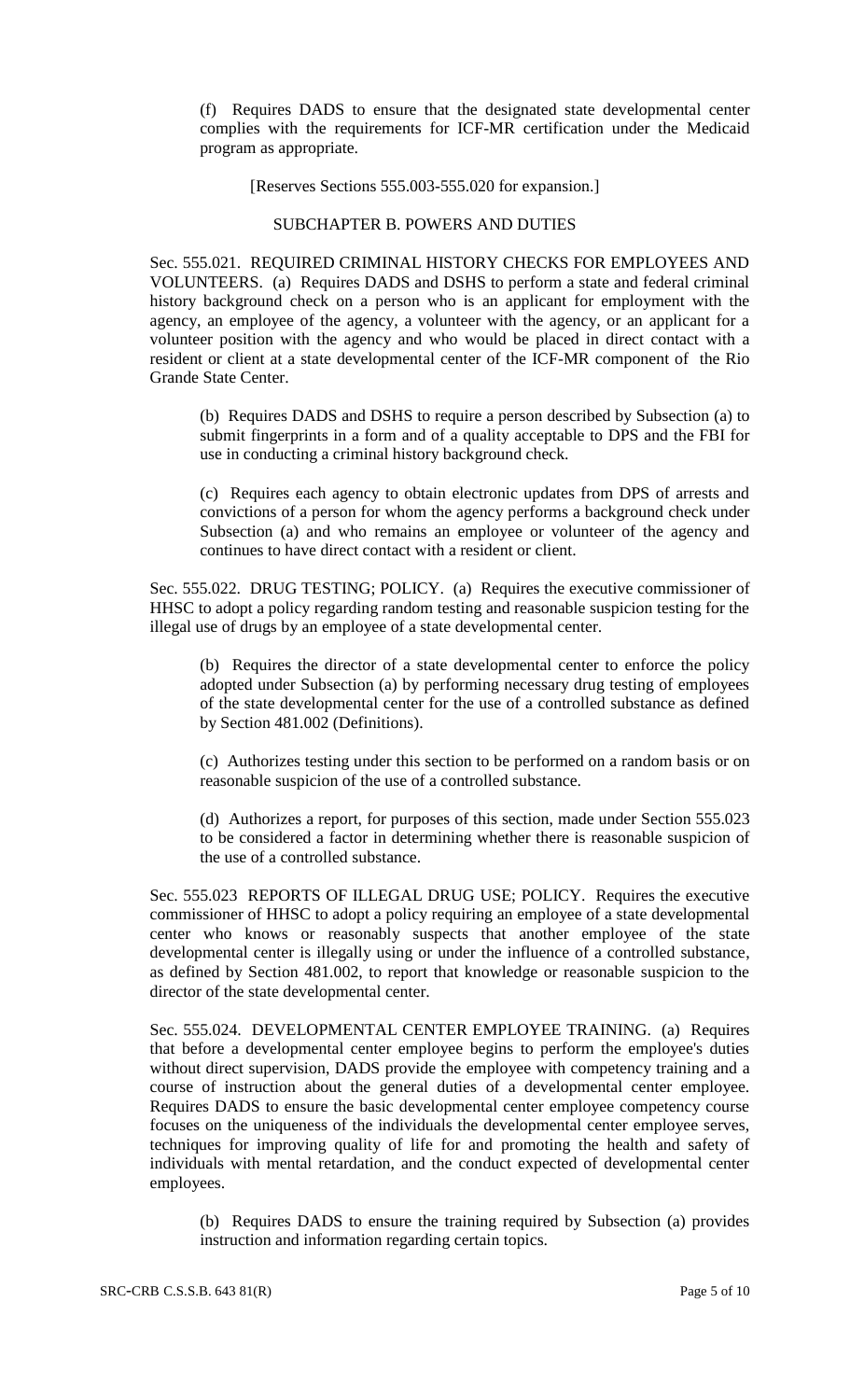(f) Requires DADS to ensure that the designated state developmental center complies with the requirements for ICF-MR certification under the Medicaid program as appropriate.

#### [Reserves Sections 555.003-555.020 for expansion.]

#### SUBCHAPTER B. POWERS AND DUTIES

Sec. 555.021. REQUIRED CRIMINAL HISTORY CHECKS FOR EMPLOYEES AND VOLUNTEERS. (a) Requires DADS and DSHS to perform a state and federal criminal history background check on a person who is an applicant for employment with the agency, an employee of the agency, a volunteer with the agency, or an applicant for a volunteer position with the agency and who would be placed in direct contact with a resident or client at a state developmental center of the ICF-MR component of the Rio Grande State Center.

(b) Requires DADS and DSHS to require a person described by Subsection (a) to submit fingerprints in a form and of a quality acceptable to DPS and the FBI for use in conducting a criminal history background check.

(c) Requires each agency to obtain electronic updates from DPS of arrests and convictions of a person for whom the agency performs a background check under Subsection (a) and who remains an employee or volunteer of the agency and continues to have direct contact with a resident or client.

Sec. 555.022. DRUG TESTING; POLICY. (a) Requires the executive commissioner of HHSC to adopt a policy regarding random testing and reasonable suspicion testing for the illegal use of drugs by an employee of a state developmental center.

(b) Requires the director of a state developmental center to enforce the policy adopted under Subsection (a) by performing necessary drug testing of employees of the state developmental center for the use of a controlled substance as defined by Section 481.002 (Definitions).

(c) Authorizes testing under this section to be performed on a random basis or on reasonable suspicion of the use of a controlled substance.

(d) Authorizes a report, for purposes of this section, made under Section 555.023 to be considered a factor in determining whether there is reasonable suspicion of the use of a controlled substance.

Sec. 555.023 REPORTS OF ILLEGAL DRUG USE; POLICY. Requires the executive commissioner of HHSC to adopt a policy requiring an employee of a state developmental center who knows or reasonably suspects that another employee of the state developmental center is illegally using or under the influence of a controlled substance, as defined by Section 481.002, to report that knowledge or reasonable suspicion to the director of the state developmental center.

Sec. 555.024. DEVELOPMENTAL CENTER EMPLOYEE TRAINING. (a) Requires that before a developmental center employee begins to perform the employee's duties without direct supervision, DADS provide the employee with competency training and a course of instruction about the general duties of a developmental center employee. Requires DADS to ensure the basic developmental center employee competency course focuses on the uniqueness of the individuals the developmental center employee serves, techniques for improving quality of life for and promoting the health and safety of individuals with mental retardation, and the conduct expected of developmental center employees.

(b) Requires DADS to ensure the training required by Subsection (a) provides instruction and information regarding certain topics.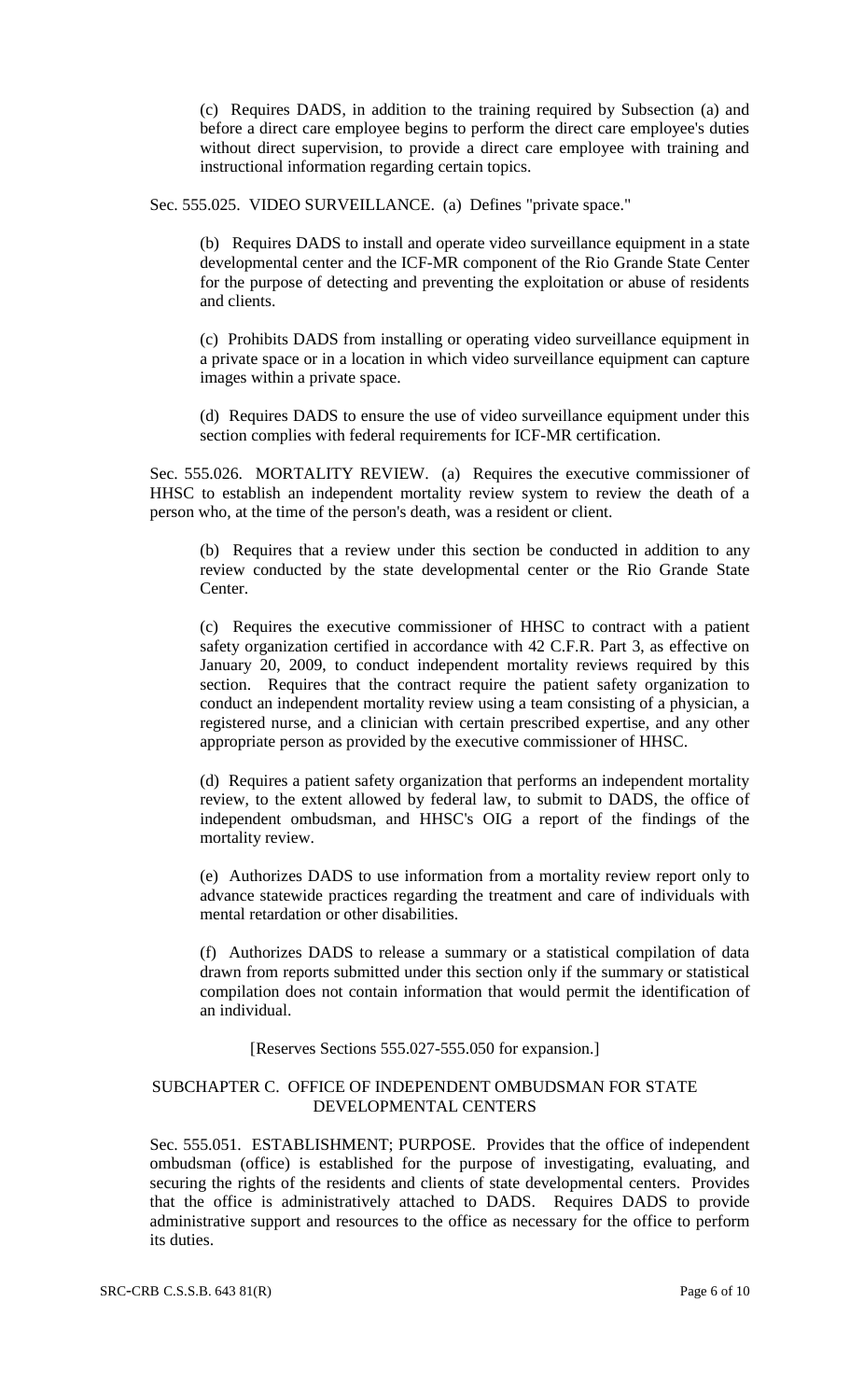(c) Requires DADS, in addition to the training required by Subsection (a) and before a direct care employee begins to perform the direct care employee's duties without direct supervision, to provide a direct care employee with training and instructional information regarding certain topics.

Sec. 555.025. VIDEO SURVEILLANCE. (a) Defines "private space."

(b) Requires DADS to install and operate video surveillance equipment in a state developmental center and the ICF-MR component of the Rio Grande State Center for the purpose of detecting and preventing the exploitation or abuse of residents and clients.

(c) Prohibits DADS from installing or operating video surveillance equipment in a private space or in a location in which video surveillance equipment can capture images within a private space.

(d) Requires DADS to ensure the use of video surveillance equipment under this section complies with federal requirements for ICF-MR certification.

Sec. 555.026. MORTALITY REVIEW. (a) Requires the executive commissioner of HHSC to establish an independent mortality review system to review the death of a person who, at the time of the person's death, was a resident or client.

(b) Requires that a review under this section be conducted in addition to any review conducted by the state developmental center or the Rio Grande State Center.

(c) Requires the executive commissioner of HHSC to contract with a patient safety organization certified in accordance with 42 C.F.R. Part 3, as effective on January 20, 2009, to conduct independent mortality reviews required by this section. Requires that the contract require the patient safety organization to conduct an independent mortality review using a team consisting of a physician, a registered nurse, and a clinician with certain prescribed expertise, and any other appropriate person as provided by the executive commissioner of HHSC.

(d) Requires a patient safety organization that performs an independent mortality review, to the extent allowed by federal law, to submit to DADS, the office of independent ombudsman, and HHSC's OIG a report of the findings of the mortality review.

(e) Authorizes DADS to use information from a mortality review report only to advance statewide practices regarding the treatment and care of individuals with mental retardation or other disabilities.

(f) Authorizes DADS to release a summary or a statistical compilation of data drawn from reports submitted under this section only if the summary or statistical compilation does not contain information that would permit the identification of an individual.

#### [Reserves Sections 555.027-555.050 for expansion.]

### SUBCHAPTER C. OFFICE OF INDEPENDENT OMBUDSMAN FOR STATE DEVELOPMENTAL CENTERS

Sec. 555.051. ESTABLISHMENT; PURPOSE. Provides that the office of independent ombudsman (office) is established for the purpose of investigating, evaluating, and securing the rights of the residents and clients of state developmental centers. Provides that the office is administratively attached to DADS. Requires DADS to provide administrative support and resources to the office as necessary for the office to perform its duties.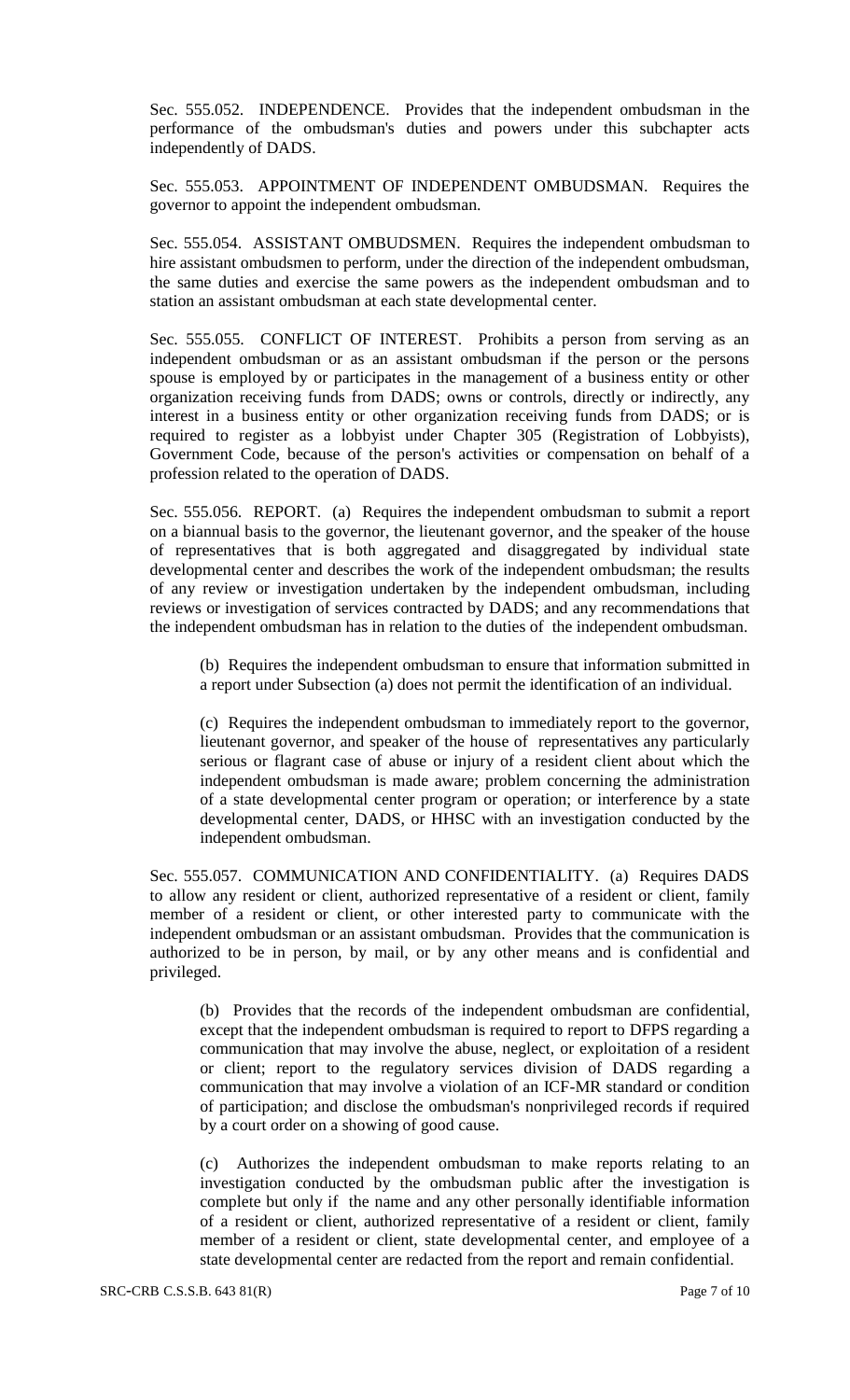Sec. 555.052. INDEPENDENCE. Provides that the independent ombudsman in the performance of the ombudsman's duties and powers under this subchapter acts independently of DADS.

Sec. 555.053. APPOINTMENT OF INDEPENDENT OMBUDSMAN. Requires the governor to appoint the independent ombudsman.

Sec. 555.054. ASSISTANT OMBUDSMEN. Requires the independent ombudsman to hire assistant ombudsmen to perform, under the direction of the independent ombudsman, the same duties and exercise the same powers as the independent ombudsman and to station an assistant ombudsman at each state developmental center.

Sec. 555.055. CONFLICT OF INTEREST. Prohibits a person from serving as an independent ombudsman or as an assistant ombudsman if the person or the persons spouse is employed by or participates in the management of a business entity or other organization receiving funds from DADS; owns or controls, directly or indirectly, any interest in a business entity or other organization receiving funds from DADS; or is required to register as a lobbyist under Chapter 305 (Registration of Lobbyists), Government Code, because of the person's activities or compensation on behalf of a profession related to the operation of DADS.

Sec. 555.056. REPORT. (a) Requires the independent ombudsman to submit a report on a biannual basis to the governor, the lieutenant governor, and the speaker of the house of representatives that is both aggregated and disaggregated by individual state developmental center and describes the work of the independent ombudsman; the results of any review or investigation undertaken by the independent ombudsman, including reviews or investigation of services contracted by DADS; and any recommendations that the independent ombudsman has in relation to the duties of the independent ombudsman.

(b) Requires the independent ombudsman to ensure that information submitted in a report under Subsection (a) does not permit the identification of an individual.

(c) Requires the independent ombudsman to immediately report to the governor, lieutenant governor, and speaker of the house of representatives any particularly serious or flagrant case of abuse or injury of a resident client about which the independent ombudsman is made aware; problem concerning the administration of a state developmental center program or operation; or interference by a state developmental center, DADS, or HHSC with an investigation conducted by the independent ombudsman.

Sec. 555.057. COMMUNICATION AND CONFIDENTIALITY. (a) Requires DADS to allow any resident or client, authorized representative of a resident or client, family member of a resident or client, or other interested party to communicate with the independent ombudsman or an assistant ombudsman. Provides that the communication is authorized to be in person, by mail, or by any other means and is confidential and privileged.

(b) Provides that the records of the independent ombudsman are confidential, except that the independent ombudsman is required to report to DFPS regarding a communication that may involve the abuse, neglect, or exploitation of a resident or client; report to the regulatory services division of DADS regarding a communication that may involve a violation of an ICF-MR standard or condition of participation; and disclose the ombudsman's nonprivileged records if required by a court order on a showing of good cause.

(c) Authorizes the independent ombudsman to make reports relating to an investigation conducted by the ombudsman public after the investigation is complete but only if the name and any other personally identifiable information of a resident or client, authorized representative of a resident or client, family member of a resident or client, state developmental center, and employee of a state developmental center are redacted from the report and remain confidential.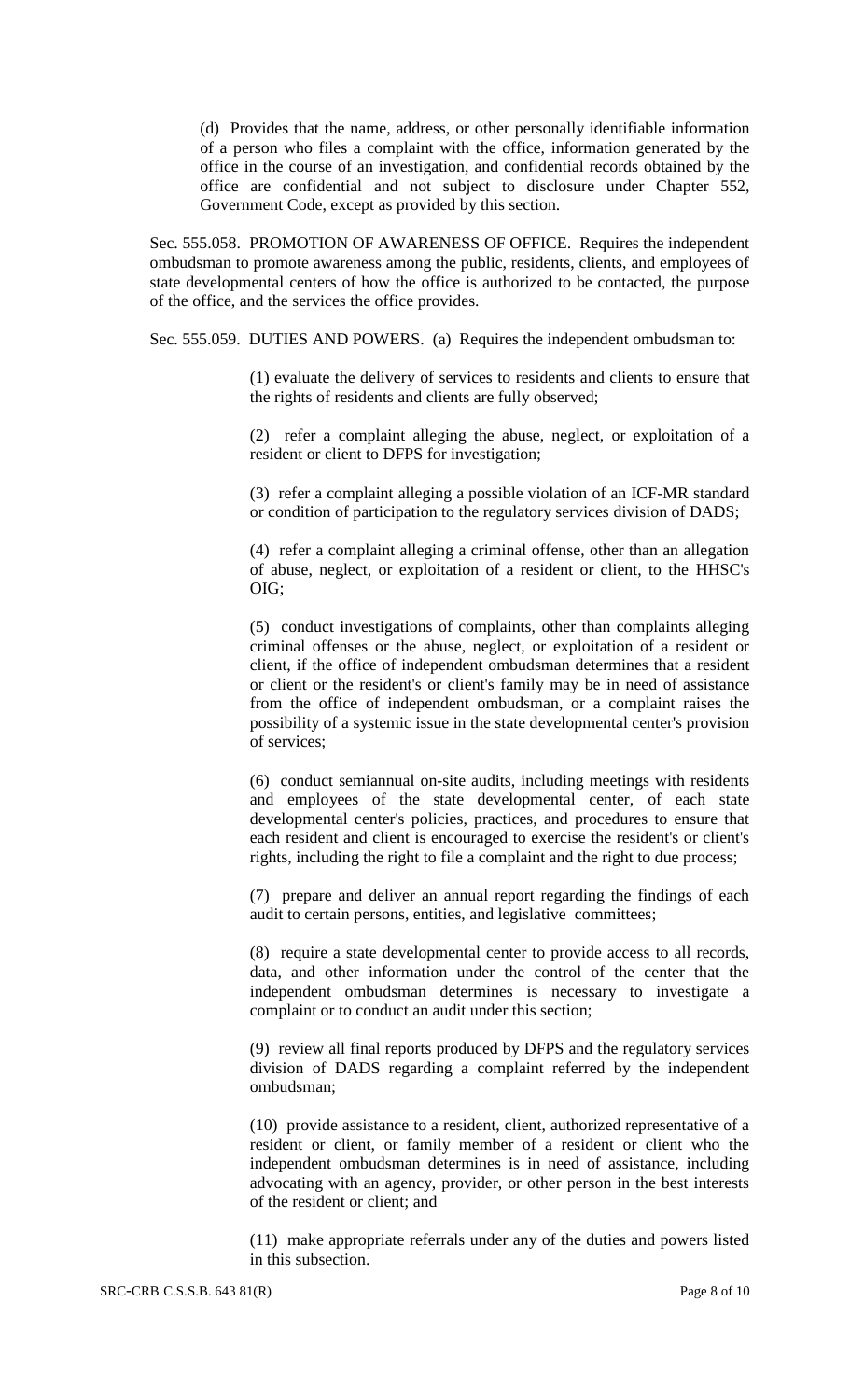(d) Provides that the name, address, or other personally identifiable information of a person who files a complaint with the office, information generated by the office in the course of an investigation, and confidential records obtained by the office are confidential and not subject to disclosure under Chapter 552, Government Code, except as provided by this section.

Sec. 555.058. PROMOTION OF AWARENESS OF OFFICE. Requires the independent ombudsman to promote awareness among the public, residents, clients, and employees of state developmental centers of how the office is authorized to be contacted, the purpose of the office, and the services the office provides.

Sec. 555.059. DUTIES AND POWERS. (a) Requires the independent ombudsman to:

(1) evaluate the delivery of services to residents and clients to ensure that the rights of residents and clients are fully observed;

(2) refer a complaint alleging the abuse, neglect, or exploitation of a resident or client to DFPS for investigation;

(3) refer a complaint alleging a possible violation of an ICF-MR standard or condition of participation to the regulatory services division of DADS;

(4) refer a complaint alleging a criminal offense, other than an allegation of abuse, neglect, or exploitation of a resident or client, to the HHSC's OIG;

(5) conduct investigations of complaints, other than complaints alleging criminal offenses or the abuse, neglect, or exploitation of a resident or client, if the office of independent ombudsman determines that a resident or client or the resident's or client's family may be in need of assistance from the office of independent ombudsman, or a complaint raises the possibility of a systemic issue in the state developmental center's provision of services;

(6) conduct semiannual on-site audits, including meetings with residents and employees of the state developmental center, of each state developmental center's policies, practices, and procedures to ensure that each resident and client is encouraged to exercise the resident's or client's rights, including the right to file a complaint and the right to due process;

(7) prepare and deliver an annual report regarding the findings of each audit to certain persons, entities, and legislative committees;

(8) require a state developmental center to provide access to all records, data, and other information under the control of the center that the independent ombudsman determines is necessary to investigate a complaint or to conduct an audit under this section;

(9) review all final reports produced by DFPS and the regulatory services division of DADS regarding a complaint referred by the independent ombudsman;

(10) provide assistance to a resident, client, authorized representative of a resident or client, or family member of a resident or client who the independent ombudsman determines is in need of assistance, including advocating with an agency, provider, or other person in the best interests of the resident or client; and

(11) make appropriate referrals under any of the duties and powers listed in this subsection.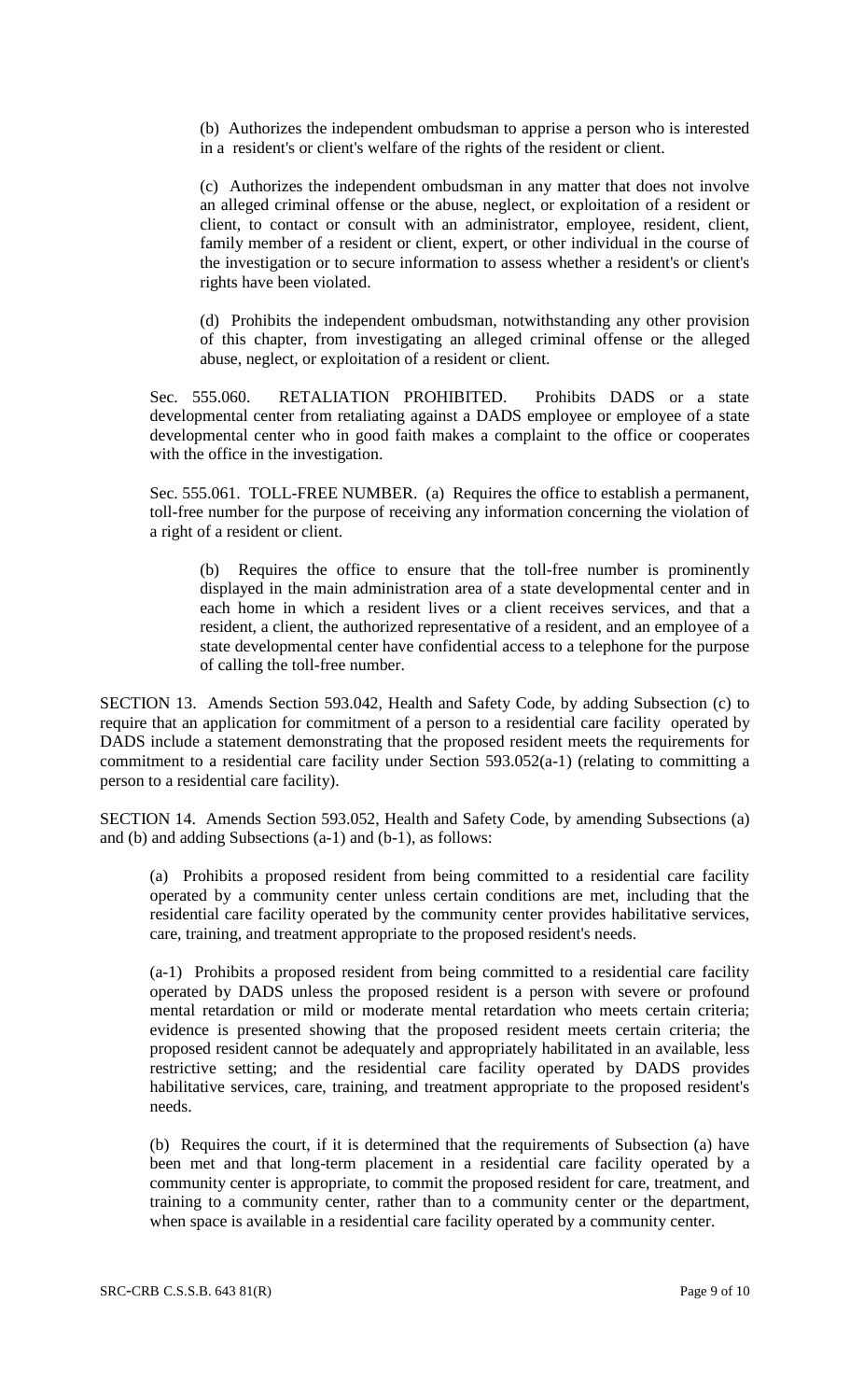(b) Authorizes the independent ombudsman to apprise a person who is interested in a resident's or client's welfare of the rights of the resident or client.

(c) Authorizes the independent ombudsman in any matter that does not involve an alleged criminal offense or the abuse, neglect, or exploitation of a resident or client, to contact or consult with an administrator, employee, resident, client, family member of a resident or client, expert, or other individual in the course of the investigation or to secure information to assess whether a resident's or client's rights have been violated.

(d) Prohibits the independent ombudsman, notwithstanding any other provision of this chapter, from investigating an alleged criminal offense or the alleged abuse, neglect, or exploitation of a resident or client.

Sec. 555.060. RETALIATION PROHIBITED. Prohibits DADS or a state developmental center from retaliating against a DADS employee or employee of a state developmental center who in good faith makes a complaint to the office or cooperates with the office in the investigation.

Sec. 555.061. TOLL-FREE NUMBER. (a) Requires the office to establish a permanent, toll-free number for the purpose of receiving any information concerning the violation of a right of a resident or client.

(b) Requires the office to ensure that the toll-free number is prominently displayed in the main administration area of a state developmental center and in each home in which a resident lives or a client receives services, and that a resident, a client, the authorized representative of a resident, and an employee of a state developmental center have confidential access to a telephone for the purpose of calling the toll-free number.

SECTION 13. Amends Section 593.042, Health and Safety Code, by adding Subsection (c) to require that an application for commitment of a person to a residential care facility operated by DADS include a statement demonstrating that the proposed resident meets the requirements for commitment to a residential care facility under Section 593.052(a-1) (relating to committing a person to a residential care facility).

SECTION 14. Amends Section 593.052, Health and Safety Code, by amending Subsections (a) and (b) and adding Subsections (a-1) and (b-1), as follows:

(a) Prohibits a proposed resident from being committed to a residential care facility operated by a community center unless certain conditions are met, including that the residential care facility operated by the community center provides habilitative services, care, training, and treatment appropriate to the proposed resident's needs.

(a-1) Prohibits a proposed resident from being committed to a residential care facility operated by DADS unless the proposed resident is a person with severe or profound mental retardation or mild or moderate mental retardation who meets certain criteria; evidence is presented showing that the proposed resident meets certain criteria; the proposed resident cannot be adequately and appropriately habilitated in an available, less restrictive setting; and the residential care facility operated by DADS provides habilitative services, care, training, and treatment appropriate to the proposed resident's needs.

(b) Requires the court, if it is determined that the requirements of Subsection (a) have been met and that long-term placement in a residential care facility operated by a community center is appropriate, to commit the proposed resident for care, treatment, and training to a community center, rather than to a community center or the department, when space is available in a residential care facility operated by a community center.